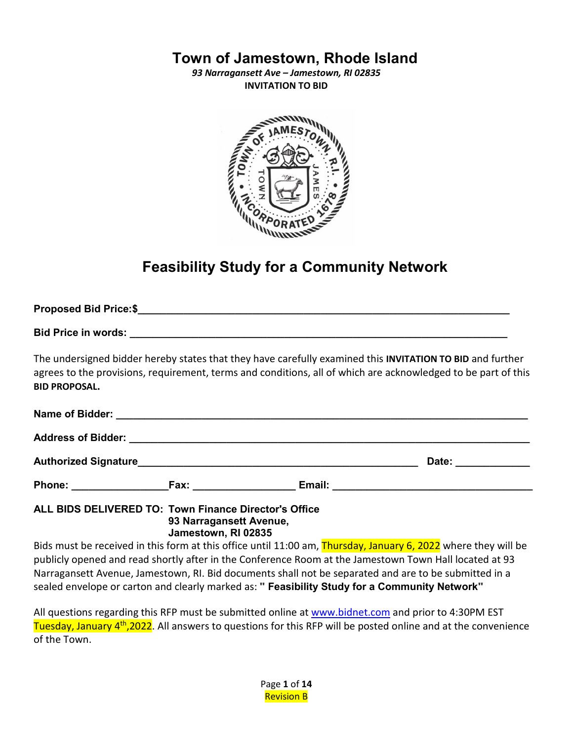# **Town of Jamestown, Rhode Island**

*93 Narragansett Ave – Jamestown, RI 02835* **INVITATION TO BID**



# **Feasibility Study for a Community Network**

| <b>BID PROPOSAL.</b> | The undersigned bidder hereby states that they have carefully examined this INVITATION TO BID and further<br>agrees to the provisions, requirement, terms and conditions, all of which are acknowledged to be part of this |                     |
|----------------------|----------------------------------------------------------------------------------------------------------------------------------------------------------------------------------------------------------------------------|---------------------|
|                      |                                                                                                                                                                                                                            |                     |
|                      |                                                                                                                                                                                                                            |                     |
|                      |                                                                                                                                                                                                                            | Date: _____________ |
|                      |                                                                                                                                                                                                                            |                     |

**ALL BIDS DELIVERED TO: Town Finance Director's Office 93 Narragansett Avenue, Jamestown, RI 02835**

Bids must be received in this form at this office until 11:00 am, Thursday, January 6, 2022 where they will be publicly opened and read shortly after in the Conference Room at the Jamestown Town Hall located at 93 Narragansett Avenue, Jamestown, RI. Bid documents shall not be separated and are to be submitted in a sealed envelope or carton and clearly marked as: **" Feasibility Study for a Community Network"**

All questions regarding this RFP must be submitted online at [www.bidnet.com](http://www.bidnet.com/) and prior to 4:30PM EST Tuesday, January 4<sup>th</sup>,2022. All answers to questions for this RFP will be posted online and at the convenience of the Town.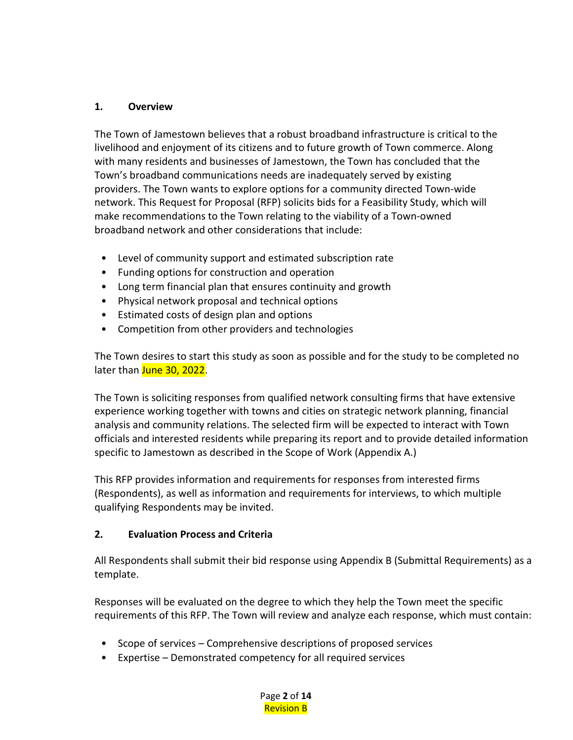#### **1. Overview**

The Town of Jamestown believes that a robust broadband infrastructure is critical to the livelihood and enjoyment of its citizens and to future growth of Town commerce. Along with many residents and businesses of Jamestown, the Town has concluded that the Town's broadband communications needs are inadequately served by existing providers. The Town wants to explore options for a community directed Town-wide network. This Request for Proposal (RFP) solicits bids for a Feasibility Study, which will make recommendations to the Town relating to the viability of a Town-owned broadband network and other considerations that include:

- Level of community support and estimated subscription rate
- Funding options for construction and operation
- Long term financial plan that ensures continuity and growth
- Physical network proposal and technical options
- Estimated costs of design plan and options
- Competition from other providers and technologies

The Town desires to start this study as soon as possible and for the study to be completed no later than June 30, 2022.

The Town is soliciting responses from qualified network consulting firms that have extensive experience working together with towns and cities on strategic network planning, financial analysis and community relations. The selected firm will be expected to interact with Town officials and interested residents while preparing its report and to provide detailed information specific to Jamestown as described in the Scope of Work (Appendix A.)

This RFP provides information and requirements for responses from interested firms (Respondents), as well as information and requirements for interviews, to which multiple qualifying Respondents may be invited.

#### **2. Evaluation Process and Criteria**

All Respondents shall submit their bid response using Appendix B (Submittal Requirements) as a template.

Responses will be evaluated on the degree to which they help the Town meet the specific requirements of this RFP. The Town will review and analyze each response, which must contain:

- Scope of services Comprehensive descriptions of proposed services
- Expertise Demonstrated competency for all required services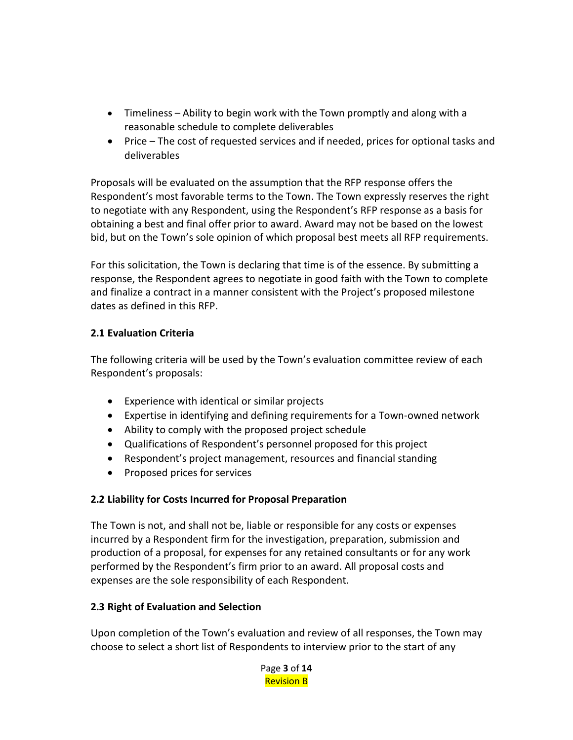- Timeliness Ability to begin work with the Town promptly and along with a reasonable schedule to complete deliverables
- Price The cost of requested services and if needed, prices for optional tasks and deliverables

Proposals will be evaluated on the assumption that the RFP response offers the Respondent's most favorable terms to the Town. The Town expressly reserves the right to negotiate with any Respondent, using the Respondent's RFP response as a basis for obtaining a best and final offer prior to award. Award may not be based on the lowest bid, but on the Town's sole opinion of which proposal best meets all RFP requirements.

For this solicitation, the Town is declaring that time is of the essence. By submitting a response, the Respondent agrees to negotiate in good faith with the Town to complete and finalize a contract in a manner consistent with the Project's proposed milestone dates as defined in this RFP.

#### **2.1 Evaluation Criteria**

The following criteria will be used by the Town's evaluation committee review of each Respondent's proposals:

- Experience with identical or similar projects
- Expertise in identifying and defining requirements for a Town-owned network
- Ability to comply with the proposed project schedule
- Qualifications of Respondent's personnel proposed for this project
- Respondent's project management, resources and financial standing
- Proposed prices for services

## **2.2 Liability for Costs Incurred for Proposal Preparation**

The Town is not, and shall not be, liable or responsible for any costs or expenses incurred by a Respondent firm for the investigation, preparation, submission and production of a proposal, for expenses for any retained consultants or for any work performed by the Respondent's firm prior to an award. All proposal costs and expenses are the sole responsibility of each Respondent.

#### **2.3 Right of Evaluation and Selection**

Upon completion of the Town's evaluation and review of all responses, the Town may choose to select a short list of Respondents to interview prior to the start of any

> Page **3** of **14** Revision B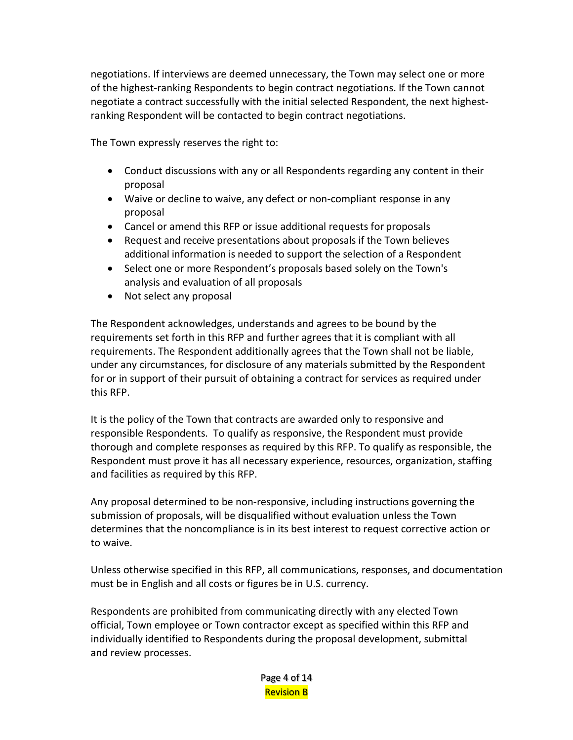negotiations. If interviews are deemed unnecessary, the Town may select one or more of the highest-ranking Respondents to begin contract negotiations. If the Town cannot negotiate a contract successfully with the initial selected Respondent, the next highestranking Respondent will be contacted to begin contract negotiations.

The Town expressly reserves the right to:

- Conduct discussions with any or all Respondents regarding any content in their proposal
- Waive or decline to waive, any defect or non-compliant response in any proposal
- Cancel or amend this RFP or issue additional requests for proposals
- Request and receive presentations about proposals if the Town believes additional information is needed to support the selection of a Respondent
- Select one or more Respondent's proposals based solely on the Town's analysis and evaluation of all proposals
- Not select any proposal

The Respondent acknowledges, understands and agrees to be bound by the requirements set forth in this RFP and further agrees that it is compliant with all requirements. The Respondent additionally agrees that the Town shall not be liable, under any circumstances, for disclosure of any materials submitted by the Respondent for or in support of their pursuit of obtaining a contract for services as required under this RFP.

It is the policy of the Town that contracts are awarded only to responsive and responsible Respondents. To qualify as responsive, the Respondent must provide thorough and complete responses as required by this RFP. To qualify as responsible, the Respondent must prove it has all necessary experience, resources, organization, staffing and facilities as required by this RFP.

Any proposal determined to be non-responsive, including instructions governing the submission of proposals, will be disqualified without evaluation unless the Town determines that the noncompliance is in its best interest to request corrective action or to waive.

Unless otherwise specified in this RFP, all communications, responses, and documentation must be in English and all costs or figures be in U.S. currency.

Respondents are prohibited from communicating directly with any elected Town official, Town employee or Town contractor except as specified within this RFP and individually identified to Respondents during the proposal development, submittal and review processes.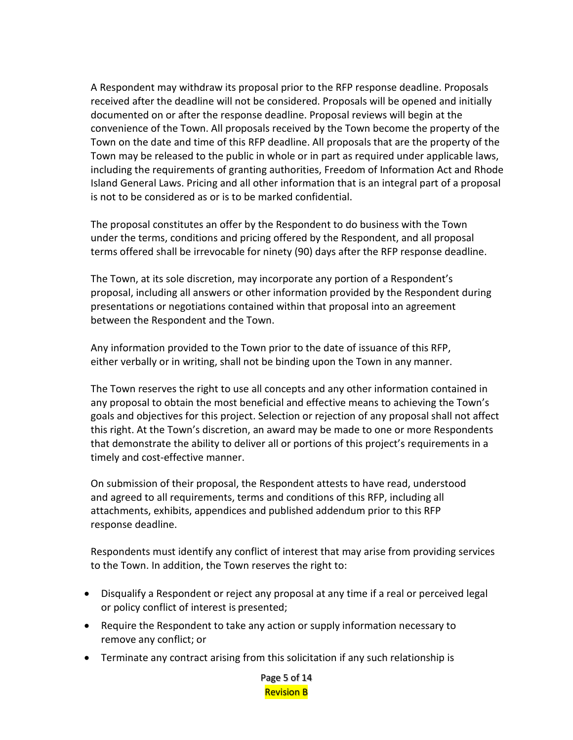A Respondent may withdraw its proposal prior to the RFP response deadline. Proposals received after the deadline will not be considered. Proposals will be opened and initially documented on or after the response deadline. Proposal reviews will begin at the convenience of the Town. All proposals received by the Town become the property of the Town on the date and time of this RFP deadline. All proposals that are the property of the Town may be released to the public in whole or in part as required under applicable laws, including the requirements of granting authorities, Freedom of Information Act and Rhode Island General Laws. Pricing and all other information that is an integral part of a proposal is not to be considered as or is to be marked confidential.

The proposal constitutes an offer by the Respondent to do business with the Town under the terms, conditions and pricing offered by the Respondent, and all proposal terms offered shall be irrevocable for ninety (90) days after the RFP response deadline.

The Town, at its sole discretion, may incorporate any portion of a Respondent's proposal, including all answers or other information provided by the Respondent during presentations or negotiations contained within that proposal into an agreement between the Respondent and the Town.

Any information provided to the Town prior to the date of issuance of this RFP, either verbally or in writing, shall not be binding upon the Town in any manner.

The Town reserves the right to use all concepts and any other information contained in any proposal to obtain the most beneficial and effective means to achieving the Town's goals and objectives for this project. Selection or rejection of any proposal shall not affect this right. At the Town's discretion, an award may be made to one or more Respondents that demonstrate the ability to deliver all or portions of this project's requirements in a timely and cost-effective manner.

On submission of their proposal, the Respondent attests to have read, understood and agreed to all requirements, terms and conditions of this RFP, including all attachments, exhibits, appendices and published addendum prior to this RFP response deadline.

Respondents must identify any conflict of interest that may arise from providing services to the Town. In addition, the Town reserves the right to:

- Disqualify a Respondent or reject any proposal at any time if a real or perceived legal or policy conflict of interest is presented;
- Require the Respondent to take any action or supply information necessary to remove any conflict; or
- Terminate any contract arising from this solicitation if any such relationship is

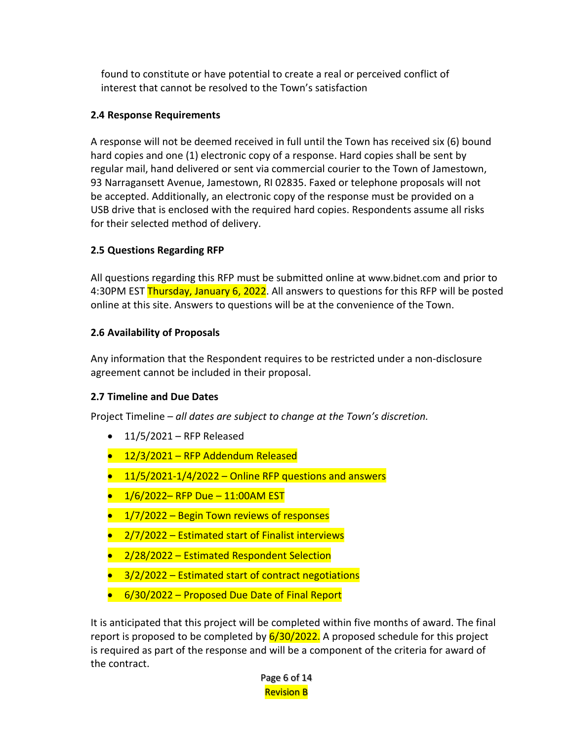found to constitute or have potential to create a real or perceived conflict of interest that cannot be resolved to the Town's satisfaction

## **2.4 Response Requirements**

A response will not be deemed received in full until the Town has received six (6) bound hard copies and one (1) electronic copy of a response. Hard copies shall be sent by regular mail, hand delivered or sent via commercial courier to the Town of Jamestown, 93 Narragansett Avenue, Jamestown, RI 02835. Faxed or telephone proposals will not be accepted. Additionally, an electronic copy of the response must be provided on a USB drive that is enclosed with the required hard copies. Respondents assume all risks for their selected method of delivery.

## **2.5 Questions Regarding RFP**

All questions regarding this RFP must be submitted online at [www.bidnet.com](http://www.bidnet.com/) and prior to 4:30PM EST Thursday, January 6, 2022. All answers to questions for this RFP will be posted online at this site. Answers to questions will be at the convenience of the Town.

## **2.6 Availability of Proposals**

Any information that the Respondent requires to be restricted under a non-disclosure agreement cannot be included in their proposal.

## **2.7 Timeline and Due Dates**

Project Timeline – *all dates are subject to change at the Town's discretion.*

- $\bullet$  11/5/2021 RFP Released
- 12/3/2021 RFP Addendum Released
- $\bullet$  11/5/2021-1/4/2022 Online RFP questions and answers
- $\bullet$  1/6/2022– RFP Due 11:00AM EST
- $\bullet$  1/7/2022 Begin Town reviews of responses
- $2/7/2022$  Estimated start of Finalist interviews
- 2/28/2022 Estimated Respondent Selection
- 3/2/2022 Estimated start of contract negotiations
- 6/30/2022 Proposed Due Date of Final Report

It is anticipated that this project will be completed within five months of award. The final report is proposed to be completed by  $6/30/2022$ . A proposed schedule for this project is required as part of the response and will be a component of the criteria for award of the contract.

> Page 6 of 14 Revision B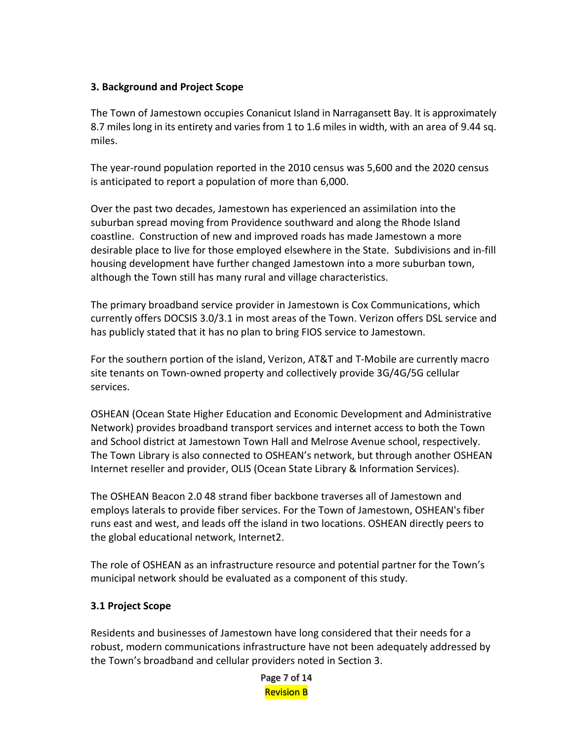#### **3. Background and Project Scope**

The Town of Jamestown occupies Conanicut Island in Narragansett Bay. It is approximately 8.7 miles long in its entirety and varies from 1 to 1.6 miles in width, with an area of 9.44 sq. miles.

The year-round population reported in the 2010 census was 5,600 and the 2020 census is anticipated to report a population of more than 6,000.

Over the past two decades, Jamestown has experienced an assimilation into the suburban spread moving from Providence southward and along the Rhode Island coastline. Construction of new and improved roads has made Jamestown a more desirable place to live for those employed elsewhere in the State. Subdivisions and in-fill housing development have further changed Jamestown into a more suburban town, although the Town still has many rural and village characteristics.

The primary broadband service provider in Jamestown is Cox Communications, which currently offers DOCSIS 3.0/3.1 in most areas of the Town. Verizon offers DSL service and has publicly stated that it has no plan to bring FIOS service to Jamestown.

For the southern portion of the island, Verizon, AT&T and T-Mobile are currently macro site tenants on Town-owned property and collectively provide 3G/4G/5G cellular services.

OSHEAN (Ocean State Higher Education and Economic Development and Administrative Network) provides broadband transport services and internet access to both the Town and School district at Jamestown Town Hall and Melrose Avenue school, respectively. The Town Library is also connected to OSHEAN's network, but through another OSHEAN Internet reseller and provider, OLIS (Ocean State Library & Information Services).

The OSHEAN Beacon 2.0 48 strand fiber backbone traverses all of Jamestown and employs laterals to provide fiber services. For the Town of Jamestown, OSHEAN's fiber runs east and west, and leads off the island in two locations. OSHEAN directly peers to the global educational network, Internet2.

The role of OSHEAN as an infrastructure resource and potential partner for the Town's municipal network should be evaluated as a component of this study.

#### **3.1 Project Scope**

Residents and businesses of Jamestown have long considered that their needs for a robust, modern communications infrastructure have not been adequately addressed by the Town's broadband and cellular providers noted in Section 3.

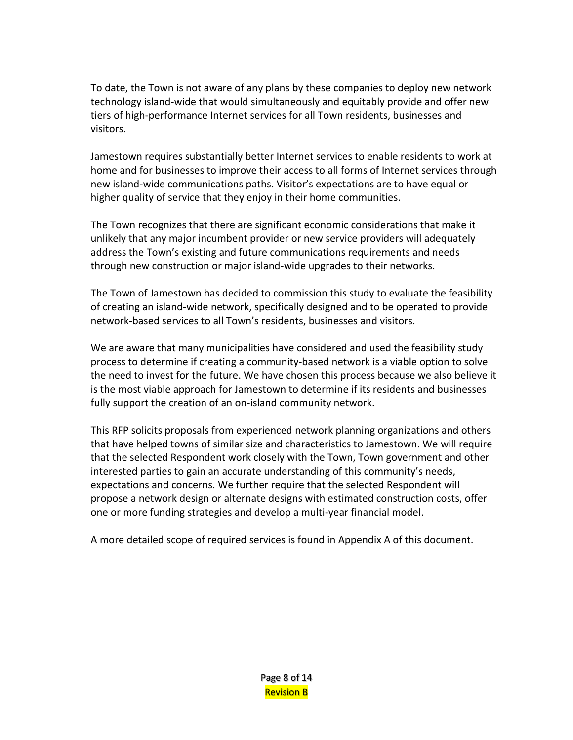To date, the Town is not aware of any plans by these companies to deploy new network technology island-wide that would simultaneously and equitably provide and offer new tiers of high-performance Internet services for all Town residents, businesses and visitors.

Jamestown requires substantially better Internet services to enable residents to work at home and for businesses to improve their access to all forms of Internet services through new island-wide communications paths. Visitor's expectations are to have equal or higher quality of service that they enjoy in their home communities.

The Town recognizes that there are significant economic considerations that make it unlikely that any major incumbent provider or new service providers will adequately address the Town's existing and future communications requirements and needs through new construction or major island-wide upgrades to their networks.

The Town of Jamestown has decided to commission this study to evaluate the feasibility of creating an island-wide network, specifically designed and to be operated to provide network-based services to all Town's residents, businesses and visitors.

We are aware that many municipalities have considered and used the feasibility study process to determine if creating a community-based network is a viable option to solve the need to invest for the future. We have chosen this process because we also believe it is the most viable approach for Jamestown to determine if its residents and businesses fully support the creation of an on-island community network.

This RFP solicits proposals from experienced network planning organizations and others that have helped towns of similar size and characteristics to Jamestown. We will require that the selected Respondent work closely with the Town, Town government and other interested parties to gain an accurate understanding of this community's needs, expectations and concerns. We further require that the selected Respondent will propose a network design or alternate designs with estimated construction costs, offer one or more funding strategies and develop a multi-year financial model.

A more detailed scope of required services is found in Appendix A of this document.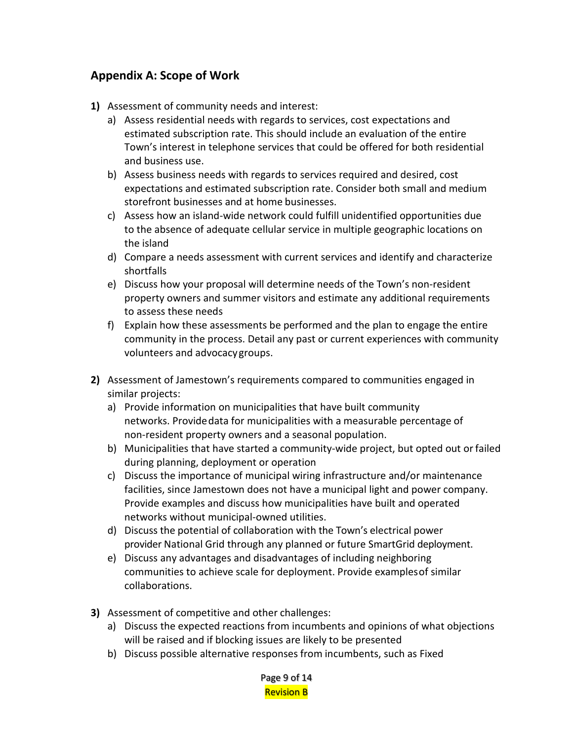## **Appendix A: Scope of Work**

- **1)** Assessment of community needs and interest:
	- a) Assess residential needs with regards to services, cost expectations and estimated subscription rate. This should include an evaluation of the entire Town's interest in telephone services that could be offered for both residential and business use.
	- b) Assess business needs with regards to services required and desired, cost expectations and estimated subscription rate. Consider both small and medium storefront businesses and at home businesses.
	- c) Assess how an island-wide network could fulfill unidentified opportunities due to the absence of adequate cellular service in multiple geographic locations on the island
	- d) Compare a needs assessment with current services and identify and characterize shortfalls
	- e) Discuss how your proposal will determine needs of the Town's non-resident property owners and summer visitors and estimate any additional requirements to assess these needs
	- f) Explain how these assessments be performed and the plan to engage the entire community in the process. Detail any past or current experiences with community volunteers and advocacygroups.
- **2)** Assessment of Jamestown's requirements compared to communities engaged in similar projects:
	- a) Provide information on municipalities that have built community networks. Providedata for municipalities with a measurable percentage of non-resident property owners and a seasonal population.
	- b) Municipalities that have started a community-wide project, but opted out orfailed during planning, deployment or operation
	- c) Discuss the importance of municipal wiring infrastructure and/or maintenance facilities, since Jamestown does not have a municipal light and power company. Provide examples and discuss how municipalities have built and operated networks without municipal-owned utilities.
	- d) Discuss the potential of collaboration with the Town's electrical power provider National Grid through any planned or future SmartGrid deployment.
	- e) Discuss any advantages and disadvantages of including neighboring communities to achieve scale for deployment. Provide examplesof similar collaborations.
- **3)** Assessment of competitive and other challenges:
	- a) Discuss the expected reactions from incumbents and opinions of what objections will be raised and if blocking issues are likely to be presented
	- b) Discuss possible alternative responses from incumbents, such as Fixed

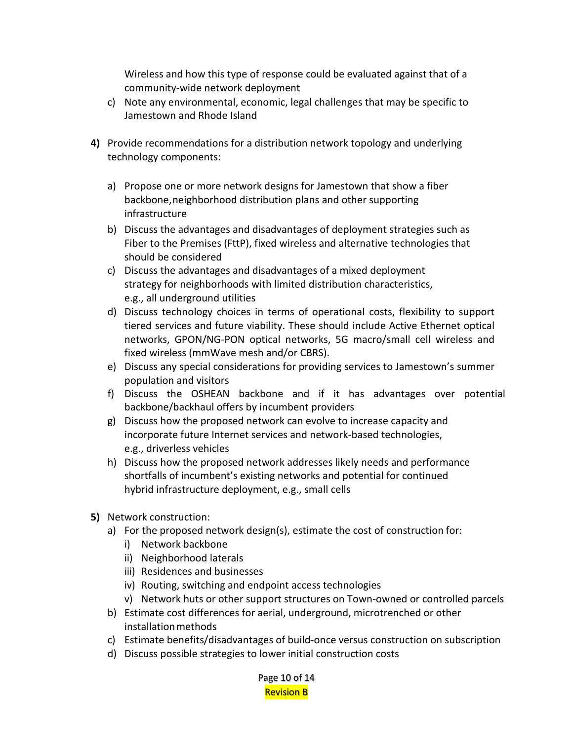Wireless and how this type of response could be evaluated against that of a community-wide network deployment

- c) Note any environmental, economic, legal challenges that may be specific to Jamestown and Rhode Island
- **4)** Provide recommendations for a distribution network topology and underlying technology components:
	- a) Propose one or more network designs for Jamestown that show a fiber backbone,neighborhood distribution plans and other supporting infrastructure
	- b) Discuss the advantages and disadvantages of deployment strategies such as Fiber to the Premises (FttP), fixed wireless and alternative technologies that should be considered
	- c) Discuss the advantages and disadvantages of a mixed deployment strategy for neighborhoods with limited distribution characteristics, e.g., all underground utilities
	- d) Discuss technology choices in terms of operational costs, flexibility to support tiered services and future viability. These should include Active Ethernet optical networks, GPON/NG-PON optical networks, 5G macro/small cell wireless and fixed wireless (mmWave mesh and/or CBRS).
	- e) Discuss any special considerations for providing services to Jamestown's summer population and visitors
	- f) Discuss the OSHEAN backbone and if it has advantages over potential backbone/backhaul offers by incumbent providers
	- g) Discuss how the proposed network can evolve to increase capacity and incorporate future Internet services and network-based technologies, e.g., driverless vehicles
	- h) Discuss how the proposed network addresses likely needs and performance shortfalls of incumbent's existing networks and potential for continued hybrid infrastructure deployment, e.g., small cells
- **5)** Network construction:
	- a) For the proposed network design(s), estimate the cost of construction for:
		- i) Network backbone
		- ii) Neighborhood laterals
		- iii) Residences and businesses
		- iv) Routing, switching and endpoint access technologies
		- v) Network huts or other support structures on Town-owned or controlled parcels
	- b) Estimate cost differences for aerial, underground, microtrenched or other installationmethods
	- c) Estimate benefits/disadvantages of build-once versus construction on subscription
	- d) Discuss possible strategies to lower initial construction costs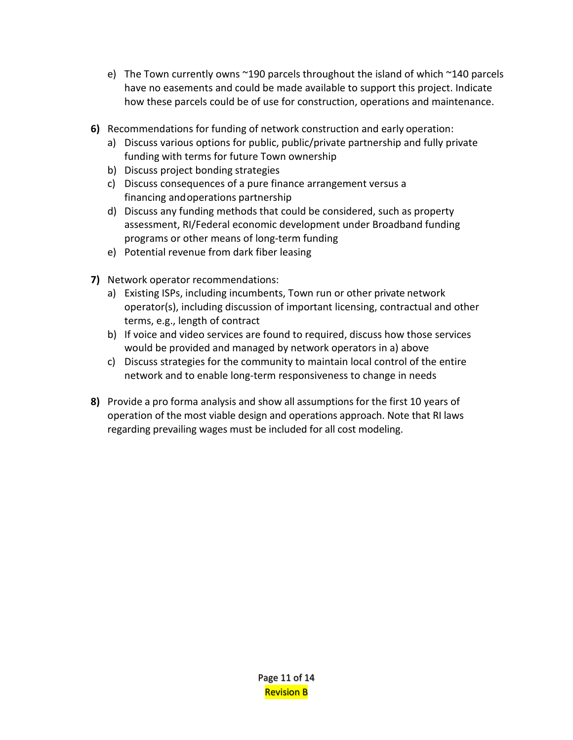- e) The Town currently owns ~190 parcels throughout the island of which ~140 parcels have no easements and could be made available to support this project. Indicate how these parcels could be of use for construction, operations and maintenance.
- **6)** Recommendations for funding of network construction and early operation:
	- a) Discuss various options for public, public/private partnership and fully private funding with terms for future Town ownership
	- b) Discuss project bonding strategies
	- c) Discuss consequences of a pure finance arrangement versus a financing andoperations partnership
	- d) Discuss any funding methods that could be considered, such as property assessment, RI/Federal economic development under Broadband funding programs or other means of long-term funding
	- e) Potential revenue from dark fiber leasing
- **7)** Network operator recommendations:
	- a) Existing ISPs, including incumbents, Town run or other private network operator(s), including discussion of important licensing, contractual and other terms, e.g., length of contract
	- b) If voice and video services are found to required, discuss how those services would be provided and managed by network operators in a) above
	- c) Discuss strategies for the community to maintain local control of the entire network and to enable long-term responsiveness to change in needs
- **8)** Provide a pro forma analysis and show all assumptions for the first 10 years of operation of the most viable design and operations approach. Note that RI laws regarding prevailing wages must be included for all cost modeling.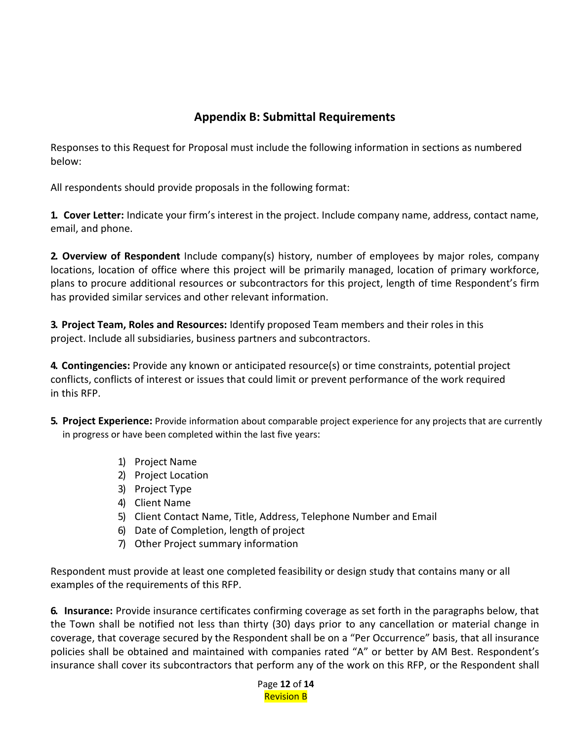## **Appendix B: Submittal Requirements**

Responses to this Request for Proposal must include the following information in sections as numbered below:

All respondents should provide proposals in the following format:

**1. Cover Letter:** Indicate your firm's interest in the project. Include company name, address, contact name, email, and phone.

**2. Overview of Respondent** Include company(s) history, number of employees by major roles, company locations, location of office where this project will be primarily managed, location of primary workforce, plans to procure additional resources or subcontractors for this project, length of time Respondent's firm has provided similar services and other relevant information.

**3. Project Team, Roles and Resources:** Identify proposed Team members and their roles in this project. Include all subsidiaries, business partners and subcontractors.

**4. Contingencies:** Provide any known or anticipated resource(s) or time constraints, potential project conflicts, conflicts of interest or issues that could limit or prevent performance of the work required in this RFP.

- **5. Project Experience:** Provide information about comparable project experience for any projects that are currently in progress or have been completed within the last five years:
	- 1) Project Name
	- 2) Project Location
	- 3) Project Type
	- 4) Client Name
	- 5) Client Contact Name, Title, Address, Telephone Number and Email
	- 6) Date of Completion, length of project
	- 7) Other Project summary information

Respondent must provide at least one completed feasibility or design study that contains many or all examples of the requirements of this RFP.

**6. Insurance:** Provide insurance certificates confirming coverage as set forth in the paragraphs below, that the Town shall be notified not less than thirty (30) days prior to any cancellation or material change in coverage, that coverage secured by the Respondent shall be on a "Per Occurrence" basis, that all insurance policies shall be obtained and maintained with companies rated "A" or better by AM Best. Respondent's insurance shall cover its subcontractors that perform any of the work on this RFP, or the Respondent shall

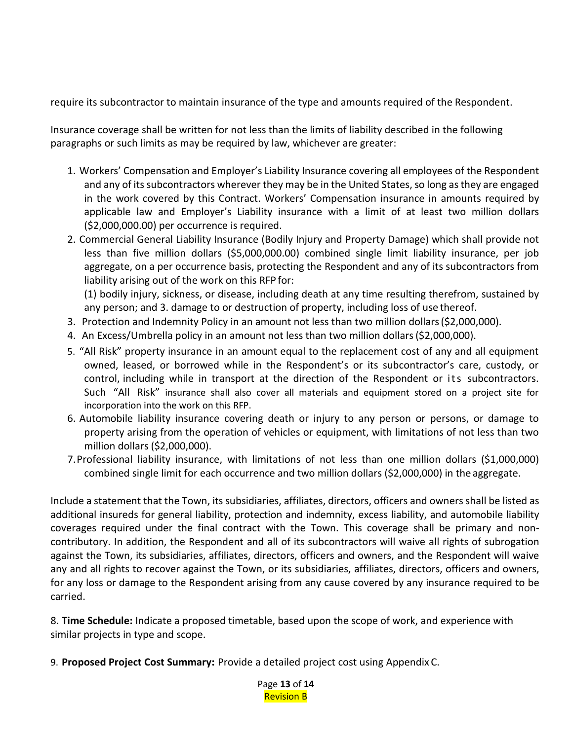require its subcontractor to maintain insurance of the type and amounts required of the Respondent.

Insurance coverage shall be written for not less than the limits of liability described in the following paragraphs or such limits as may be required by law, whichever are greater:

- 1. Workers' Compensation and Employer's Liability Insurance covering all employees of the Respondent and any of its subcontractors wherever they may be in the United States, so long as they are engaged in the work covered by this Contract. Workers' Compensation insurance in amounts required by applicable law and Employer's Liability insurance with a limit of at least two million dollars (\$2,000,000.00) per occurrence is required.
- 2. Commercial General Liability Insurance (Bodily Injury and Property Damage) which shall provide not less than five million dollars (\$5,000,000.00) combined single limit liability insurance, per job aggregate, on a per occurrence basis, protecting the Respondent and any of its subcontractors from liability arising out of the work on this RFP for:

(1) bodily injury, sickness, or disease, including death at any time resulting therefrom, sustained by any person; and 3. damage to or destruction of property, including loss of use thereof.

- 3. Protection and Indemnity Policy in an amount not less than two million dollars(\$2,000,000).
- 4. An Excess/Umbrella policy in an amount not less than two million dollars(\$2,000,000).
- 5. "All Risk" property insurance in an amount equal to the replacement cost of any and all equipment owned, leased, or borrowed while in the Respondent's or its subcontractor's care, custody, or control, including while in transport at the direction of the Respondent or its subcontractors. Such "All Risk" insurance shall also cover all materials and equipment stored on a project site for incorporation into the work on this RFP.
- 6. Automobile liability insurance covering death or injury to any person or persons, or damage to property arising from the operation of vehicles or equipment, with limitations of not less than two million dollars (\$2,000,000).
- 7.Professional liability insurance, with limitations of not less than one million dollars (\$1,000,000) combined single limit for each occurrence and two million dollars (\$2,000,000) in the aggregate.

Include a statement that the Town, its subsidiaries, affiliates, directors, officers and owners shall be listed as additional insureds for general liability, protection and indemnity, excess liability, and automobile liability coverages required under the final contract with the Town. This coverage shall be primary and noncontributory. In addition, the Respondent and all of its subcontractors will waive all rights of subrogation against the Town, its subsidiaries, affiliates, directors, officers and owners, and the Respondent will waive any and all rights to recover against the Town, or its subsidiaries, affiliates, directors, officers and owners, for any loss or damage to the Respondent arising from any cause covered by any insurance required to be carried.

8. **Time Schedule:** Indicate a proposed timetable, based upon the scope of work, and experience with similar projects in type and scope.

9. **Proposed Project Cost Summary:** Provide a detailed project cost using Appendix C.